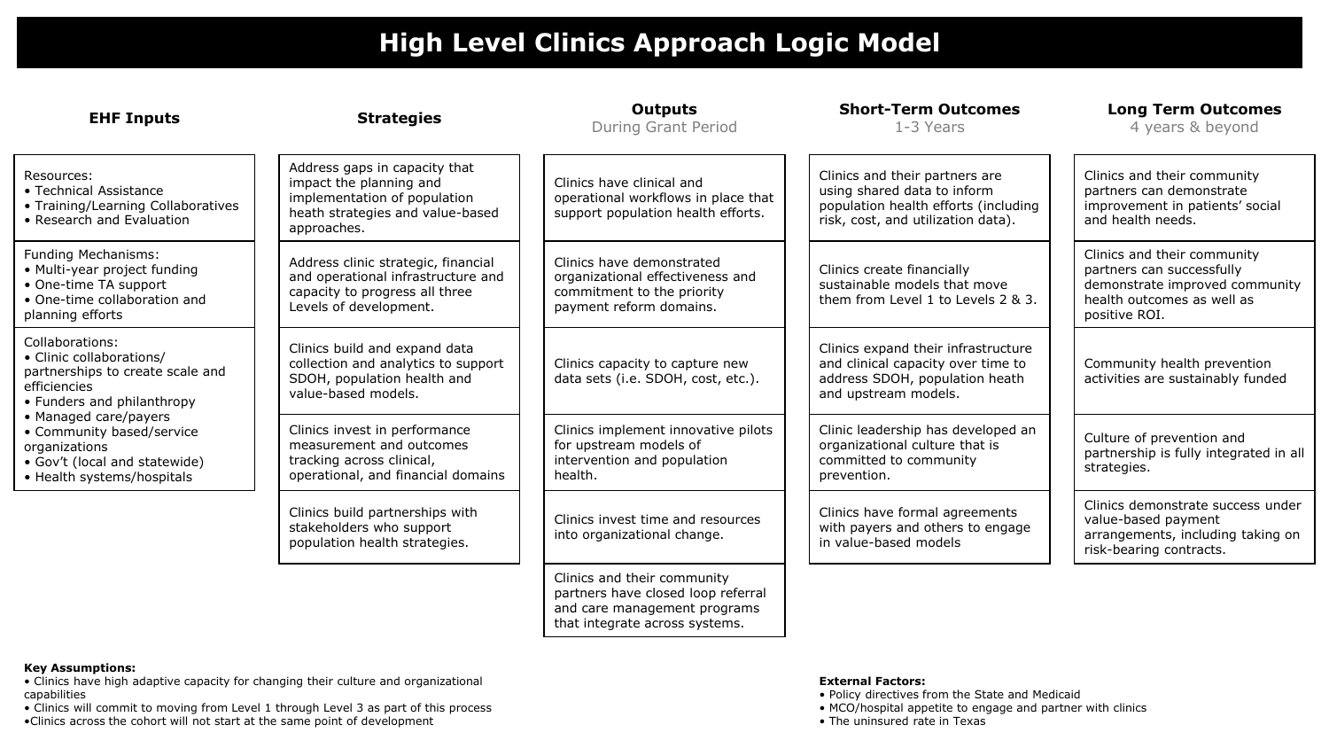# **High Level Clinics Approach Logic Model**

| <b>EHF Inputs</b>                                                                                                                                                                                                                                                   | <b>Strategies</b>                                                                                                                           | <b>Outputs</b><br><b>During Grant Period</b>                                                                                        | <b>Short-Term Outcomes</b><br>1-3 Years                                                                                                     | <b>Long Term Outcomes</b><br>4 years & beyond                                                                                             |
|---------------------------------------------------------------------------------------------------------------------------------------------------------------------------------------------------------------------------------------------------------------------|---------------------------------------------------------------------------------------------------------------------------------------------|-------------------------------------------------------------------------------------------------------------------------------------|---------------------------------------------------------------------------------------------------------------------------------------------|-------------------------------------------------------------------------------------------------------------------------------------------|
| Resources:<br>• Technical Assistance<br>• Training/Learning Collaboratives<br>• Research and Evaluation                                                                                                                                                             | Address gaps in capacity that<br>impact the planning and<br>implementation of population<br>heath strategies and value-based<br>approaches. | Clinics have clinical and<br>operational workflows in place that<br>support population health efforts.                              | Clinics and their partners are<br>using shared data to inform<br>population health efforts (including<br>risk, cost, and utilization data). | Clinics and their community<br>partners can demonstrate<br>improvement in patients' social<br>and health needs.                           |
| Funding Mechanisms:<br>• Multi-year project funding<br>• One-time TA support<br>• One-time collaboration and<br>planning efforts                                                                                                                                    | Address clinic strategic, financial<br>and operational infrastructure and<br>capacity to progress all three<br>Levels of development.       | Clinics have demonstrated<br>organizational effectiveness and<br>commitment to the priority<br>payment reform domains.              | Clinics create financially<br>sustainable models that move<br>them from Level 1 to Levels 2 & 3.                                            | Clinics and their community<br>partners can successfully<br>demonstrate improved community<br>health outcomes as well as<br>positive ROI. |
| Collaborations:<br>• Clinic collaborations/<br>partnerships to create scale and<br>efficiencies<br>• Funders and philanthropy<br>• Managed care/payers<br>• Community based/service<br>organizations<br>• Gov't (local and statewide)<br>• Health systems/hospitals | Clinics build and expand data<br>collection and analytics to support<br>SDOH, population health and<br>value-based models.                  | Clinics capacity to capture new<br>data sets (i.e. SDOH, cost, etc.).                                                               | Clinics expand their infrastructure<br>and clinical capacity over time to<br>address SDOH, population heath<br>and upstream models.         | Community health prevention<br>activities are sustainably funded                                                                          |
|                                                                                                                                                                                                                                                                     | Clinics invest in performance<br>measurement and outcomes<br>tracking across clinical,<br>operational, and financial domains                | Clinics implement innovative pilots<br>for upstream models of<br>intervention and population<br>health.                             | Clinic leadership has developed an<br>organizational culture that is<br>committed to community<br>prevention.                               | Culture of prevention and<br>partnership is fully integrated in all<br>strategies.                                                        |
|                                                                                                                                                                                                                                                                     | Clinics build partnerships with<br>stakeholders who support<br>population health strategies.                                                | Clinics invest time and resources<br>into organizational change.                                                                    | Clinics have formal agreements<br>with payers and others to engage<br>in value-based models                                                 | Clinics demonstrate success under<br>value-based payment<br>arrangements, including taking on<br>risk-bearing contracts.                  |
|                                                                                                                                                                                                                                                                     |                                                                                                                                             | Clinics and their community<br>partners have closed loop referral<br>and care management programs<br>that integrate across systems. |                                                                                                                                             |                                                                                                                                           |

# **Key Assumptions:**

• Clinics have high adaptive capacity for changing their culture and organizational capabilities

• Clinics will commit to moving from Level 1 through Level 3 as part of this process •Clinics across the cohort will not start at the same point of development

# **External Factors:**

- Policy directives from the State and Medicaid
- MCO/hospital appetite to engage and partner with clinics
- The uninsured rate in Texas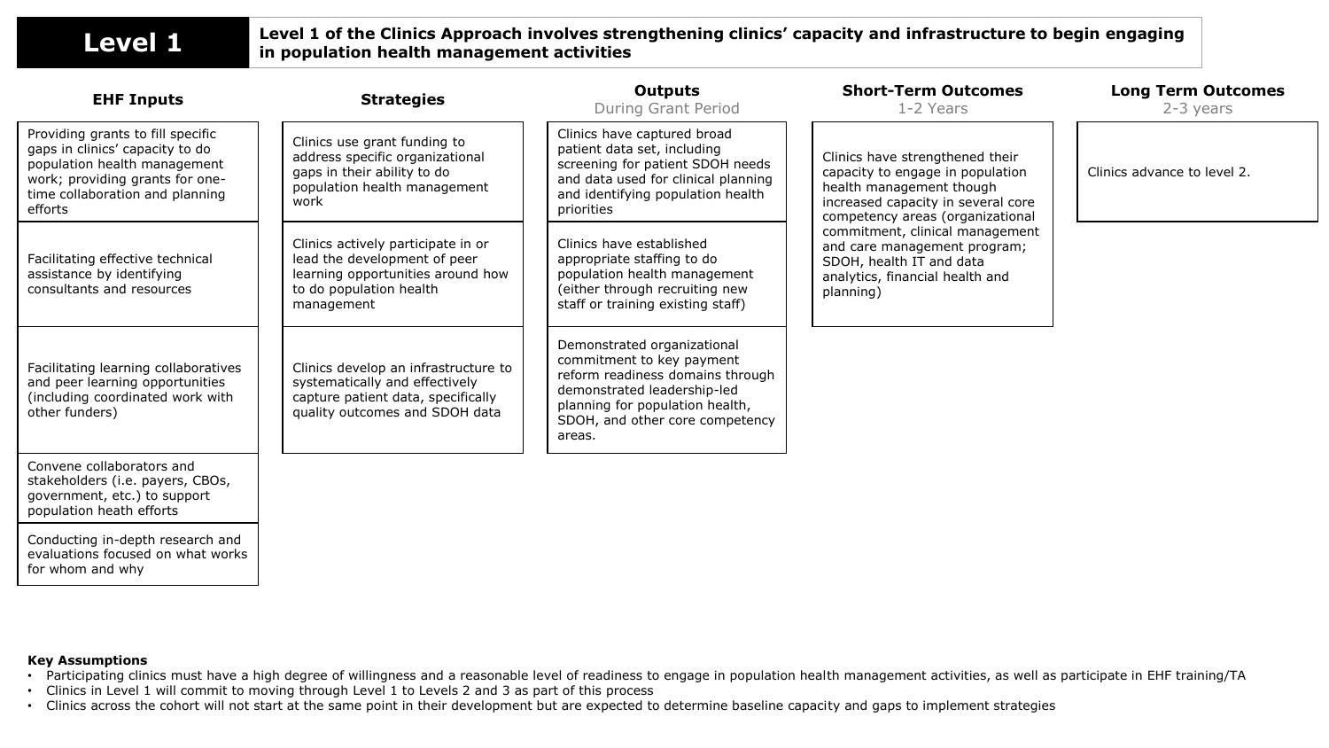# **Level 1** Level 1 of the Clinics Approach involves strengthening clinics' capacity and infrastructure to begin engaging in population health management activities **in population health management activities**

| <b>EHF Inputs</b>                                                                                                                                                                     | <b>Strategies</b>                                                                                                                                | Outputs<br>During Grant Period                                                                                                                                                                              | <b>Short-Term Outcomes</b><br>1-2 Years                                                                                                                                   | <b>Long Term Outcomes</b><br>2-3 years |
|---------------------------------------------------------------------------------------------------------------------------------------------------------------------------------------|--------------------------------------------------------------------------------------------------------------------------------------------------|-------------------------------------------------------------------------------------------------------------------------------------------------------------------------------------------------------------|---------------------------------------------------------------------------------------------------------------------------------------------------------------------------|----------------------------------------|
| Providing grants to fill specific<br>gaps in clinics' capacity to do<br>population health management<br>work; providing grants for one-<br>time collaboration and planning<br>efforts | Clinics use grant funding to<br>address specific organizational<br>gaps in their ability to do<br>population health management<br>work           | Clinics have captured broad<br>patient data set, including<br>screening for patient SDOH needs<br>and data used for clinical planning<br>and identifying population health<br>priorities                    | Clinics have strengthened their<br>capacity to engage in population<br>health management though<br>increased capacity in several core<br>competency areas (organizational | Clinics advance to level 2.            |
| Facilitating effective technical<br>assistance by identifying<br>consultants and resources                                                                                            | Clinics actively participate in or<br>lead the development of peer<br>learning opportunities around how<br>to do population health<br>management | Clinics have established<br>appropriate staffing to do<br>population health management<br>(either through recruiting new<br>staff or training existing staff)                                               | commitment, clinical management<br>and care management program;<br>SDOH, health IT and data<br>analytics, financial health and<br>planning)                               |                                        |
| Facilitating learning collaboratives<br>and peer learning opportunities<br>(including coordinated work with<br>other funders)                                                         | Clinics develop an infrastructure to<br>systematically and effectively<br>capture patient data, specifically<br>quality outcomes and SDOH data   | Demonstrated organizational<br>commitment to key payment<br>reform readiness domains through<br>demonstrated leadership-led<br>planning for population health,<br>SDOH, and other core competency<br>areas. |                                                                                                                                                                           |                                        |
| Convene collaborators and<br>stakeholders (i.e. payers, CBOs,<br>government, etc.) to support<br>population heath efforts                                                             |                                                                                                                                                  |                                                                                                                                                                                                             |                                                                                                                                                                           |                                        |
| Conducting in-depth research and<br>evaluations focused on what works<br>for whom and why                                                                                             |                                                                                                                                                  |                                                                                                                                                                                                             |                                                                                                                                                                           |                                        |

## **Key Assumptions**

- Participating clinics must have a high degree of willingness and a reasonable level of readiness to engage in population health management activities, as well as participate in EHF training/TA
- Clinics in Level 1 will commit to moving through Level 1 to Levels 2 and 3 as part of this process
- Clinics across the cohort will not start at the same point in their development but are expected to determine baseline capacity and gaps to implement strategies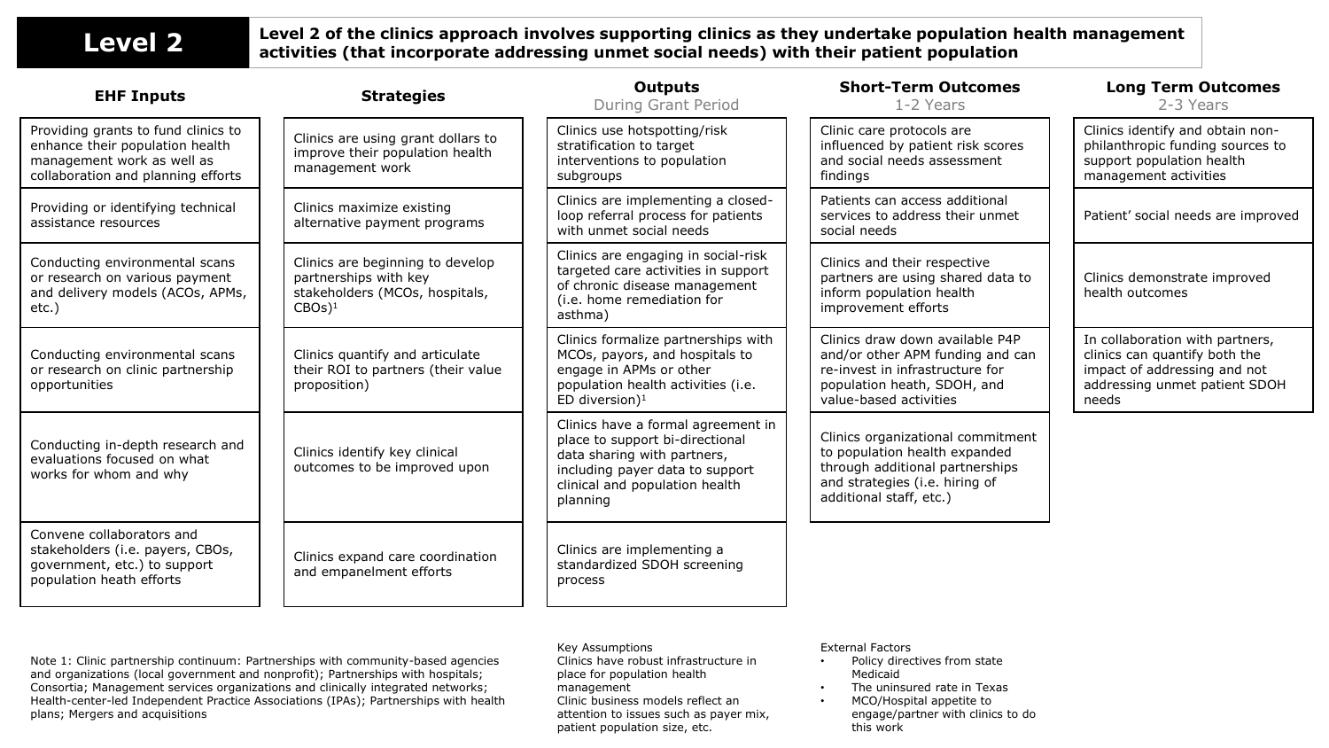# **Level 2 Level 2 of the clinics approach involves supporting clinics as they undertake population health management <br>
<b>LeVel 2 Level activities (that incorporate addressing unmet social needs) with their patient popula activities (that incorporate addressing unmet social needs) with their patient population**

| <b>EHF Inputs</b>                                                                                                                          | <b>Strategies</b>                                                                                                  | <b>Outputs</b><br><b>During Grant Period</b>                                                                                                                                          | <b>Short-Term Outcomes</b><br>1-2 Years                                                                                                                            | <b>Long Term Outcomes</b><br>2-3 Years                                                                                                     |
|--------------------------------------------------------------------------------------------------------------------------------------------|--------------------------------------------------------------------------------------------------------------------|---------------------------------------------------------------------------------------------------------------------------------------------------------------------------------------|--------------------------------------------------------------------------------------------------------------------------------------------------------------------|--------------------------------------------------------------------------------------------------------------------------------------------|
| Providing grants to fund clinics to<br>enhance their population health<br>management work as well as<br>collaboration and planning efforts | Clinics are using grant dollars to<br>improve their population health<br>management work                           | Clinics use hotspotting/risk<br>stratification to target<br>interventions to population<br>subgroups                                                                                  | Clinic care protocols are<br>influenced by patient risk scores<br>and social needs assessment<br>findings                                                          | Clinics identify and obtain non-<br>philanthropic funding sources to<br>support population health<br>management activities                 |
| Providing or identifying technical<br>assistance resources                                                                                 | Clinics maximize existing<br>alternative payment programs                                                          | Clinics are implementing a closed-<br>loop referral process for patients<br>with unmet social needs                                                                                   | Patients can access additional<br>services to address their unmet<br>social needs                                                                                  | Patient' social needs are improved                                                                                                         |
| Conducting environmental scans<br>or research on various payment<br>and delivery models (ACOs, APMs,<br>etc.)                              | Clinics are beginning to develop<br>partnerships with key<br>stakeholders (MCOs, hospitals,<br>$CBOs$ <sup>1</sup> | Clinics are engaging in social-risk<br>targeted care activities in support<br>of chronic disease management<br>(i.e. home remediation for<br>asthma)                                  | Clinics and their respective<br>partners are using shared data to<br>inform population health<br>improvement efforts                                               | Clinics demonstrate improved<br>health outcomes                                                                                            |
| Conducting environmental scans<br>or research on clinic partnership<br>opportunities                                                       | Clinics quantify and articulate<br>their ROI to partners (their value<br>proposition)                              | Clinics formalize partnerships with<br>MCOs, payors, and hospitals to<br>engage in APMs or other<br>population health activities (i.e.<br>ED diversion) $1$                           | Clinics draw down available P4P<br>and/or other APM funding and can<br>re-invest in infrastructure for<br>population heath, SDOH, and<br>value-based activities    | In collaboration with partners,<br>clinics can quantify both the<br>impact of addressing and not<br>addressing unmet patient SDOH<br>needs |
| Conducting in-depth research and<br>evaluations focused on what<br>works for whom and why                                                  | Clinics identify key clinical<br>outcomes to be improved upon                                                      | Clinics have a formal agreement in<br>place to support bi-directional<br>data sharing with partners,<br>including payer data to support<br>clinical and population health<br>planning | Clinics organizational commitment<br>to population health expanded<br>through additional partnerships<br>and strategies (i.e. hiring of<br>additional staff, etc.) |                                                                                                                                            |
| Convene collaborators and<br>stakeholders (i.e. payers, CBOs,<br>government, etc.) to support<br>population heath efforts                  | Clinics expand care coordination<br>and empanelment efforts                                                        | Clinics are implementing a<br>standardized SDOH screening<br>process                                                                                                                  |                                                                                                                                                                    |                                                                                                                                            |

Note 1: Clinic partnership continuum: Partnerships with community-based agencies and organizations (local government and nonprofit); Partnerships with hospitals; Consortia; Management services organizations and clinically integrated networks; Health-center-led Independent Practice Associations (IPAs); Partnerships with health plans; Mergers and acquisitions

### Key Assumptions

Clinics have robust infrastructure in place for population health management Clinic business models reflect an attention to issues such as payer mix, patient population size, etc.

### External Factors

- Policy directives from state Medicaid
- The uninsured rate in Texas
- MCO/Hospital appetite to engage/partner with clinics to do this work